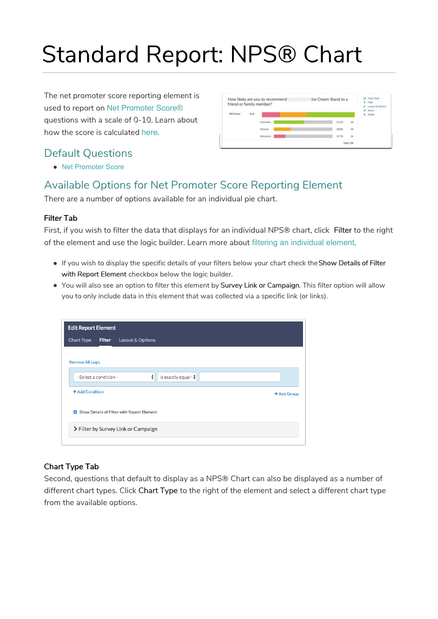# Standard Report: NPS® Chart

The net promoter score reporting element is used to report on Net Promoter Score® questions with a scale of 0-10. Learn about how the score is calculated here.

# Default Questions



Net Promoter Score

# Available Options for Net Promoter Score Reporting Element

There are a number of options available for an individual pie chart.

## Filter Tab

First, if you wish to filter the data that displays for an individual NPS® chart, click Filter to the right of the element and use the logic builder. Learn more about filtering an individual element.

- If you wish to display the specific details of your filters below your chart check theShow Details of Filter with Report Element checkbox below the logic builder.
- You will also see an option to filter this element by Survey Link or Campaign. This filter option will allow you to only include data in this element that was collected via a specific link (or links).

| <b>Edit Report Element</b> |                                                 |
|----------------------------|-------------------------------------------------|
|                            | Chart Type<br><b>Filter</b><br>Layout & Options |
|                            | <b>Remove All Logic</b>                         |
| is exactly equal t≑        | --Select a condition--                          |
| + Add Group                | + Add Condition                                 |
|                            | Show Details of Filter with Report Element      |
|                            | > Filter by Survey Link or Campaign             |
|                            |                                                 |

## Chart Type Tab

Second, questions that default to display as a NPS® Chart can also be displayed as a number of different chart types. Click Chart Type to the right of the element and select a different chart type from the available options.